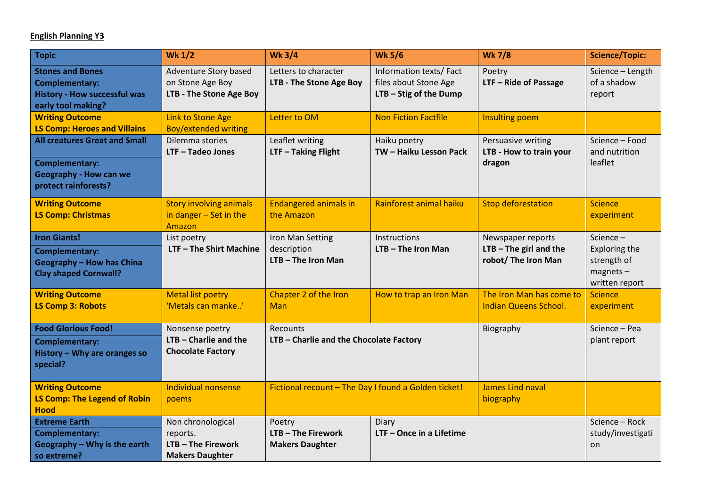## **English Planning Y3**

| <b>Topic</b>                                                                                                     | <b>Wk 1/2</b>                                                               | <b>Wk 3/4</b>                                          | <b>Wk 5/6</b>                                                             | <b>Wk 7/8</b>                                                        | <b>Science/Topic:</b>                                                     |
|------------------------------------------------------------------------------------------------------------------|-----------------------------------------------------------------------------|--------------------------------------------------------|---------------------------------------------------------------------------|----------------------------------------------------------------------|---------------------------------------------------------------------------|
| <b>Stones and Bones</b><br><b>Complementary:</b><br><b>History - How successful was</b><br>early tool making?    | Adventure Story based<br>on Stone Age Boy<br>LTB - The Stone Age Boy        | Letters to character<br>LTB - The Stone Age Boy        | Information texts/Fact<br>files about Stone Age<br>LTB - Stig of the Dump | Poetry<br>LTF - Ride of Passage                                      | Science - Length<br>of a shadow<br>report                                 |
| <b>Writing Outcome</b><br><b>LS Comp: Heroes and Villains</b>                                                    | <b>Link to Stone Age</b><br><b>Boy/extended writing</b>                     | Letter to OM                                           | <b>Non Fiction Factfile</b>                                               | Insulting poem                                                       |                                                                           |
| <b>All creatures Great and Small</b>                                                                             | Dilemma stories<br>$LTF - Tadeo Jones$                                      | Leaflet writing<br>LTF - Taking Flight                 | Haiku poetry<br>TW - Haiku Lesson Pack                                    | Persuasive writing<br>LTB - How to train your                        | Science - Food<br>and nutrition                                           |
| <b>Complementary:</b><br><b>Geography - How can we</b><br>protect rainforests?                                   |                                                                             |                                                        |                                                                           | dragon                                                               | leaflet                                                                   |
| <b>Writing Outcome</b><br><b>LS Comp: Christmas</b>                                                              | <b>Story involving animals</b><br>in danger $-$ Set in the<br>Amazon        | <b>Endangered animals in</b><br>the Amazon             | Rainforest animal haiku                                                   | <b>Stop deforestation</b>                                            | <b>Science</b><br>experiment                                              |
| <b>Iron Giants!</b><br><b>Complementary:</b><br><b>Geography - How has China</b><br><b>Clay shaped Cornwall?</b> | List poetry<br>LTF - The Shirt Machine                                      | Iron Man Setting<br>description<br>LTB-The Iron Man    | Instructions<br>LTB-The Iron Man                                          | Newspaper reports<br>$LTB - The girl and the$<br>robot/ The Iron Man | Science-<br>Exploring the<br>strength of<br>$magnets -$<br>written report |
| <b>Writing Outcome</b><br><b>LS Comp 3: Robots</b>                                                               | <b>Metal list poetry</b><br>'Metals can manke'                              | Chapter 2 of the Iron<br>Man                           | How to trap an Iron Man                                                   | The Iron Man has come to<br><b>Indian Queens School.</b>             | <b>Science</b><br>experiment                                              |
| <b>Food Glorious Food!</b><br><b>Complementary:</b><br>History - Why are oranges so<br>special?                  | Nonsense poetry<br>$LTB - Charlie$ and the<br><b>Chocolate Factory</b>      | Recounts<br>LTB - Charlie and the Chocolate Factory    |                                                                           | Biography                                                            | Science - Pea<br>plant report                                             |
| <b>Writing Outcome</b><br><b>LS Comp: The Legend of Robin</b><br><b>Hood</b>                                     | Individual nonsense<br>poems                                                | Fictional recount - The Day I found a Golden ticket!   |                                                                           | <b>James Lind naval</b><br>biography                                 |                                                                           |
| <b>Extreme Earth</b><br><b>Complementary:</b><br>Geography - Why is the earth<br>so extreme?                     | Non chronological<br>reports.<br>LTB-The Firework<br><b>Makers Daughter</b> | Poetry<br>LTB - The Firework<br><b>Makers Daughter</b> | Diary<br>LTF - Once in a Lifetime                                         |                                                                      | Science - Rock<br>study/investigati<br>on                                 |